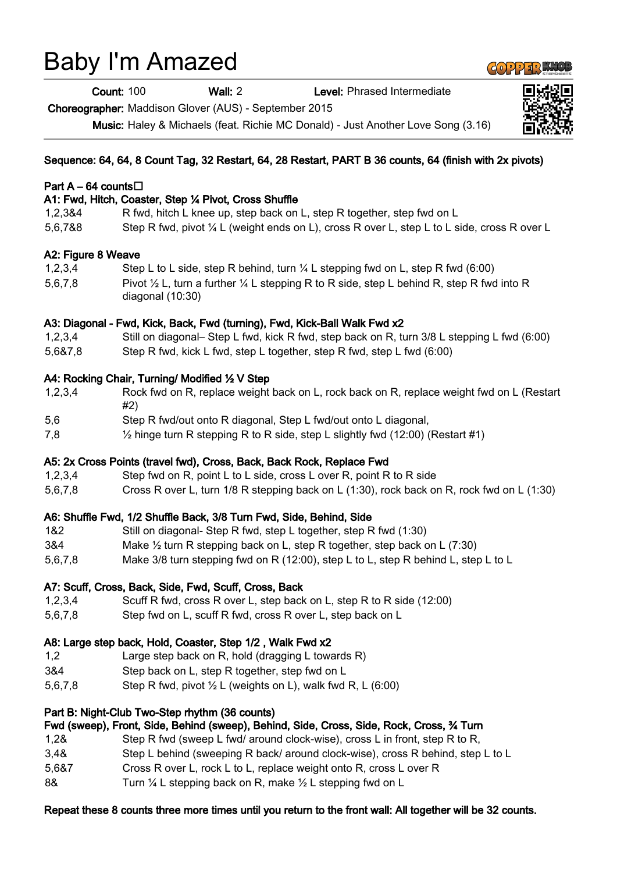# Baby I'm Amazed

Count: 100 Wall: 2 Level: Phrased Intermediate

Choreographer: Maddison Glover (AUS) - September 2015

Music: Haley & Michaels (feat. Richie MC Donald) - Just Another Love Song (3.16)

## Sequence: 64, 64, 8 Count Tag, 32 Restart, 64, 28 Restart, PART B 36 counts, 64 (finish with 2x pivots)

## Part A – 64 counts $\Box$

## A1: Fwd, Hitch, Coaster, Step ¼ Pivot, Cross Shuffle

1,2,3&4 R fwd, hitch L knee up, step back on L, step R together, step fwd on L 5,6,7&8 Step R fwd, pivot ¼ L (weight ends on L), cross R over L, step L to L side, cross R over L

## A2: Figure 8 Weave

1,2,3,4 Step L to L side, step R behind, turn ¼ L stepping fwd on L, step R fwd (6:00) 5,6,7,8 Pivot  $\frac{1}{2}$  L, turn a further  $\frac{1}{4}$  L stepping R to R side, step L behind R, step R fwd into R diagonal (10:30)

## A3: Diagonal - Fwd, Kick, Back, Fwd (turning), Fwd, Kick-Ball Walk Fwd x2

- 1,2,3,4 Still on diagonal– Step L fwd, kick R fwd, step back on R, turn 3/8 L stepping L fwd (6:00)
- 5,6&7,8 Step R fwd, kick L fwd, step L together, step R fwd, step L fwd (6:00)

# A4: Rocking Chair, Turning/ Modified ½ V Step

| 1,2,3,4 | Rock fwd on R, replace weight back on L, rock back on R, replace weight fwd on L (Restart |  |
|---------|-------------------------------------------------------------------------------------------|--|
|         |                                                                                           |  |
|         |                                                                                           |  |

- 5,6 Step R fwd/out onto R diagonal, Step L fwd/out onto L diagonal,
- 7,8 ½ hinge turn R stepping R to R side, step L slightly fwd (12:00) (Restart #1)

## A5: 2x Cross Points (travel fwd), Cross, Back, Back Rock, Replace Fwd

- 1,2,3,4 Step fwd on R, point L to L side, cross L over R, point R to R side
- 5,6,7,8 Cross R over L, turn 1/8 R stepping back on L (1:30), rock back on R, rock fwd on L (1:30)

# A6: Shuffle Fwd, 1/2 Shuffle Back, 3/8 Turn Fwd, Side, Behind, Side

- 1&2 Still on diagonal- Step R fwd, step L together, step R fwd (1:30)
- 3&4 Make ½ turn R stepping back on L, step R together, step back on L (7:30)
- 5,6,7,8 Make 3/8 turn stepping fwd on R (12:00), step L to L, step R behind L, step L to L

# A7: Scuff, Cross, Back, Side, Fwd, Scuff, Cross, Back

- 1,2,3,4 Scuff R fwd, cross R over L, step back on L, step R to R side (12:00)
- 5,6,7,8 Step fwd on L, scuff R fwd, cross R over L, step back on L

## A8: Large step back, Hold, Coaster, Step 1/2 , Walk Fwd x2

- 1,2 Large step back on R, hold (dragging L towards R)
- 3&4 Step back on L, step R together, step fwd on L
- 5,6,7,8 Step R fwd, pivot  $\frac{1}{2}$  L (weights on L), walk fwd R, L (6:00)

## Part B: Night-Club Two-Step rhythm (36 counts)

## Fwd (sweep), Front, Side, Behind (sweep), Behind, Side, Cross, Side, Rock, Cross, ¾ Turn

- 1,2& Step R fwd (sweep L fwd/ around clock-wise), cross L in front, step R to R,
- 3,4& Step L behind (sweeping R back/ around clock-wise), cross R behind, step L to L
- 5,6&7 Cross R over L, rock L to L, replace weight onto R, cross L over R
- 8& Turn 1/4 L stepping back on R, make 1/2 L stepping fwd on L

# Repeat these 8 counts three more times until you return to the front wall: All together will be 32 counts.